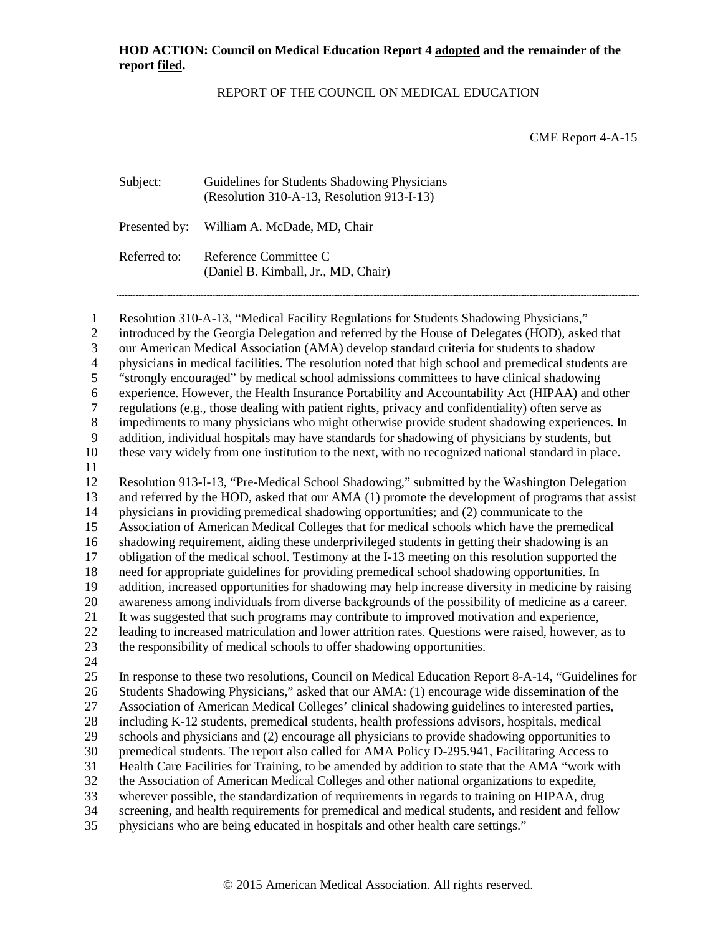## REPORT OF THE COUNCIL ON MEDICAL EDUCATION

CME Report 4-A-15

| Subject:      | Guidelines for Students Shadowing Physicians<br>(Resolution 310-A-13, Resolution 913-I-13) |
|---------------|--------------------------------------------------------------------------------------------|
| Presented by: | William A. McDade, MD, Chair                                                               |
| Referred to:  | Reference Committee C<br>(Daniel B. Kimball, Jr., MD, Chair)                               |

 Resolution 310-A-13, "Medical Facility Regulations for Students Shadowing Physicians," introduced by the Georgia Delegation and referred by the House of Delegates (HOD), asked that our American Medical Association (AMA) develop standard criteria for students to shadow physicians in medical facilities. The resolution noted that high school and premedical students are "strongly encouraged" by medical school admissions committees to have clinical shadowing experience. However, the Health Insurance Portability and Accountability Act (HIPAA) and other 7 regulations (e.g., those dealing with patient rights, privacy and confidentiality) often serve as<br>8 impediments to many physicians who might otherwise provide student shadowing experience impediments to many physicians who might otherwise provide student shadowing experiences. In addition, individual hospitals may have standards for shadowing of physicians by students, but these vary widely from one institution to the next, with no recognized national standard in place. Resolution 913-I-13, "Pre-Medical School Shadowing," submitted by the Washington Delegation and referred by the HOD, asked that our AMA (1) promote the development of programs that assist physicians in providing premedical shadowing opportunities; and (2) communicate to the Association of American Medical Colleges that for medical schools which have the premedical shadowing requirement, aiding these underprivileged students in getting their shadowing is an obligation of the medical school. Testimony at the I-13 meeting on this resolution supported the need for appropriate guidelines for providing premedical school shadowing opportunities. In addition, increased opportunities for shadowing may help increase diversity in medicine by raising awareness among individuals from diverse backgrounds of the possibility of medicine as a career. It was suggested that such programs may contribute to improved motivation and experience, leading to increased matriculation and lower attrition rates. Questions were raised, however, as to the responsibility of medical schools to offer shadowing opportunities. In response to these two resolutions, Council on Medical Education Report 8-A-14, "Guidelines for Students Shadowing Physicians," asked that our AMA: (1) encourage wide dissemination of the Association of American Medical Colleges' clinical shadowing guidelines to interested parties, including K-12 students, premedical students, health professions advisors, hospitals, medical schools and physicians and (2) encourage all physicians to provide shadowing opportunities to premedical students. The report also called for AMA Policy D-295.941, Facilitating Access to Health Care Facilities for Training, to be amended by addition to state that the AMA "work with the Association of American Medical Colleges and other national organizations to expedite, wherever possible, the standardization of requirements in regards to training on HIPAA, drug 34 screening, and health requirements for premedical and medical students, and resident and fellow physicians who are being educated in hospitals and other health care settings."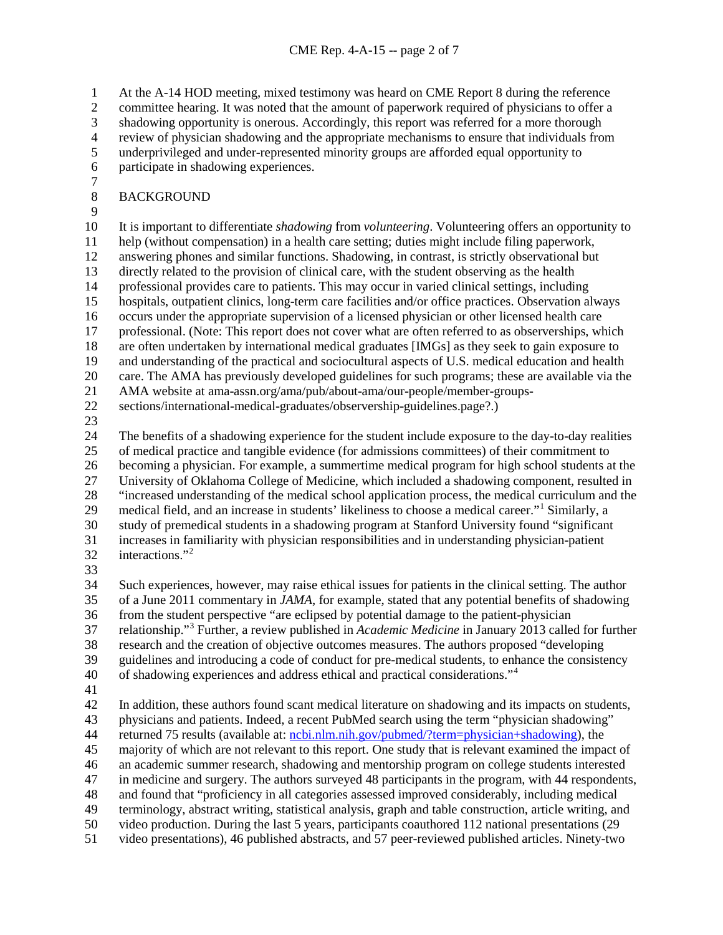At the A-14 HOD meeting, mixed testimony was heard on CME Report 8 during the reference

committee hearing. It was noted that the amount of paperwork required of physicians to offer a

3 shadowing opportunity is onerous. Accordingly, this report was referred for a more thorough<br>4 review of physician shadowing and the appropriate mechanisms to ensure that individuals from

4 review of physician shadowing and the appropriate mechanisms to ensure that individuals from<br>5 underprivileged and under-represented minority groups are afforded equal opportunity to underprivileged and under-represented minority groups are afforded equal opportunity to

participate in shadowing experiences.

 $\frac{7}{8}$ 

## **BACKGROUND**

 It is important to differentiate *shadowing* from *volunteering*. Volunteering offers an opportunity to help (without compensation) in a health care setting; duties might include filing paperwork, answering phones and similar functions. Shadowing, in contrast, is strictly observational but 13 directly related to the provision of clinical care, with the student observing as the health<br>14 professional provides care to patients. This may occur in varied clinical settings, including professional provides care to patients. This may occur in varied clinical settings, including hospitals, outpatient clinics, long-term care facilities and/or office practices. Observation always occurs under the appropriate supervision of a licensed physician or other licensed health care professional. (Note: This report does not cover what are often referred to as observerships, which are often undertaken by international medical graduates [IMGs] as they seek to gain exposure to and understanding of the practical and sociocultural aspects of U.S. medical education and health 20 care. The AMA has previously developed guidelines for such programs; these are available via the 21 AMA website at ama-assn.org/ama/pub/about-ama/our-people/member-groups-AMA website at ama-assn.org/ama/pub/about-ama/our-people/member-groups-

sections/international-medical-graduates/observership-guidelines.page?.)

 The benefits of a shadowing experience for the student include exposure to the day-to-day realities of medical practice and tangible evidence (for admissions committees) of their commitment to becoming a physician. For example, a summertime medical program for high school students at the University of Oklahoma College of Medicine, which included a shadowing component, resulted in "increased understanding of the medical school application process, the medical curriculum and the 29 medical field, and an increase in students' likeliness to choose a medical career."<sup>[1](#page-6-0)</sup> Similarly, a study of premedical students in a shadowing program at Stanford University found "significant increases in familiarity with physician responsibilities and in understanding physician-patient [2](#page-6-1) interactions."<sup>2</sup> 

 Such experiences, however, may raise ethical issues for patients in the clinical setting. The author of a June 2011 commentary in *JAMA*, for example, stated that any potential benefits of shadowing from the student perspective "are eclipsed by potential damage to the patient-physician relationship."[3](#page-6-2) Further, a review published in *Academic Medicine* in January 2013 called for further research and the creation of objective outcomes measures. The authors proposed "developing guidelines and introducing a code of conduct for pre-medical students, to enhance the consistency of shadowing experiences and address ethical and practical considerations."[4](#page-6-3)

 In addition, these authors found scant medical literature on shadowing and its impacts on students, physicians and patients. Indeed, a recent PubMed search using the term "physician shadowing" 44 returned 75 results (available at: [ncbi.nlm.nih.gov/pubmed/?term=physician+shadowing\)](http://www.ncbi.nlm.nih.gov/pubmed/?term=physician+shadowing), the majority of which are not relevant to this report. One study that is relevant examined the impact of an academic summer research, shadowing and mentorship program on college students interested in medicine and surgery. The authors surveyed 48 participants in the program, with 44 respondents, and found that "proficiency in all categories assessed improved considerably, including medical terminology, abstract writing, statistical analysis, graph and table construction, article writing, and video production. During the last 5 years, participants coauthored 112 national presentations (29 video presentations), 46 published abstracts, and 57 peer-reviewed published articles. Ninety-two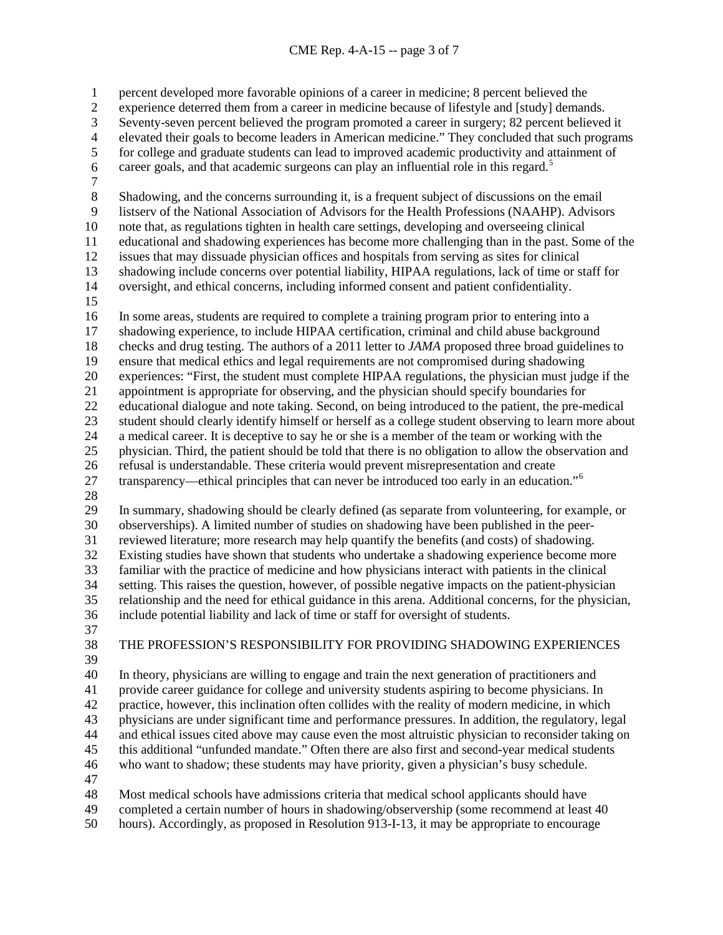percent developed more favorable opinions of a career in medicine; 8 percent believed the

experience deterred them from a career in medicine because of lifestyle and [study] demands.

Seventy-seven percent believed the program promoted a career in surgery; 82 percent believed it

- 4 elevated their goals to become leaders in American medicine." They concluded that such programs<br>5 for college and graduate students can lead to improved academic productivity and attainment of
- for college and graduate students can lead to improved academic productivity and attainment of 6 career goals, and that academic surgeons can play an influential role in this regard.<sup>[5](#page-6-4)</sup>
- $\frac{7}{8}$

Shadowing, and the concerns surrounding it, is a frequent subject of discussions on the email

listserv of the National Association of Advisors for the Health Professions (NAAHP). Advisors

note that, as regulations tighten in health care settings, developing and overseeing clinical

educational and shadowing experiences has become more challenging than in the past. Some of the

issues that may dissuade physician offices and hospitals from serving as sites for clinical

13 shadowing include concerns over potential liability, HIPAA regulations, lack of time or staff for<br>14 oversight, and ethical concerns, including informed consent and patient confidentiality. oversight, and ethical concerns, including informed consent and patient confidentiality.

In some areas, students are required to complete a training program prior to entering into a

shadowing experience, to include HIPAA certification, criminal and child abuse background

 checks and drug testing. The authors of a 2011 letter to *JAMA* proposed three broad guidelines to ensure that medical ethics and legal requirements are not compromised during shadowing

experiences: "First, the student must complete HIPAA regulations, the physician must judge if the

appointment is appropriate for observing, and the physician should specify boundaries for

educational dialogue and note taking. Second, on being introduced to the patient, the pre-medical

student should clearly identify himself or herself as a college student observing to learn more about

a medical career. It is deceptive to say he or she is a member of the team or working with the

physician. Third, the patient should be told that there is no obligation to allow the observation and

refusal is understandable. These criteria would prevent misrepresentation and create

- 27 transparency—ethical principles that can never be introduced too early in an education."<sup>[6](#page-6-5)</sup>
- 

 In summary, shadowing should be clearly defined (as separate from volunteering, for example, or observerships). A limited number of studies on shadowing have been published in the peer-

reviewed literature; more research may help quantify the benefits (and costs) of shadowing.

 Existing studies have shown that students who undertake a shadowing experience become more familiar with the practice of medicine and how physicians interact with patients in the clinical

 setting. This raises the question, however, of possible negative impacts on the patient-physician relationship and the need for ethical guidance in this arena. Additional concerns, for the physician,

include potential liability and lack of time or staff for oversight of students.

- 
- 

THE PROFESSION'S RESPONSIBILITY FOR PROVIDING SHADOWING EXPERIENCES

 In theory, physicians are willing to engage and train the next generation of practitioners and provide career guidance for college and university students aspiring to become physicians. In practice, however, this inclination often collides with the reality of modern medicine, in which physicians are under significant time and performance pressures. In addition, the regulatory, legal and ethical issues cited above may cause even the most altruistic physician to reconsider taking on this additional "unfunded mandate." Often there are also first and second-year medical students who want to shadow; these students may have priority, given a physician's busy schedule.

Most medical schools have admissions criteria that medical school applicants should have

completed a certain number of hours in shadowing/observership (some recommend at least 40

hours). Accordingly, as proposed in Resolution 913-I-13, it may be appropriate to encourage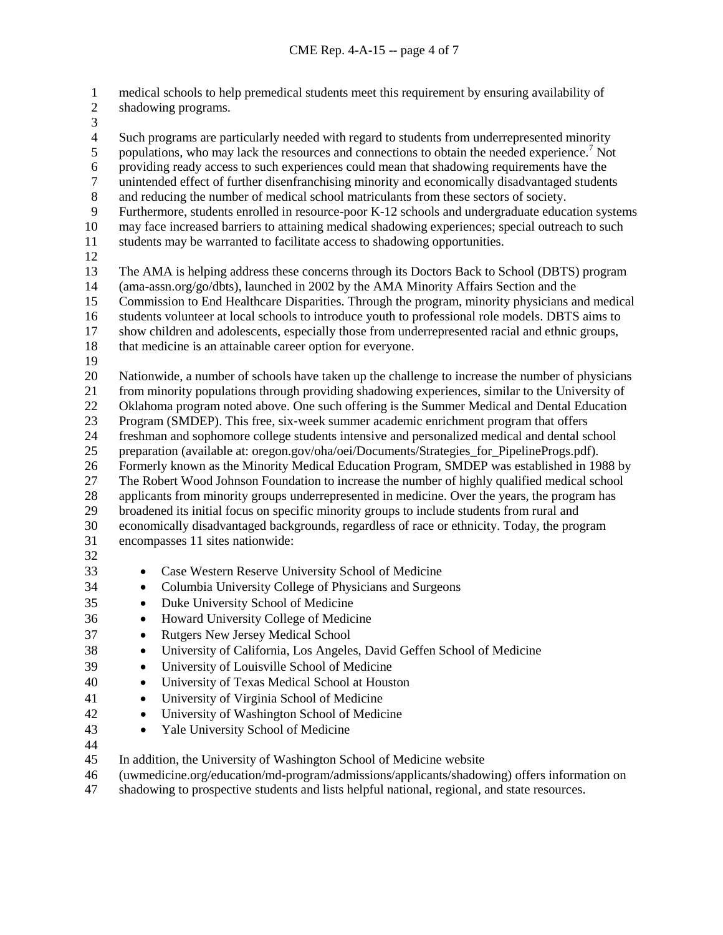medical schools to help premedical students meet this requirement by ensuring availability of shadowing programs. 3<br>4 4 Such programs are particularly needed with regard to students from underrepresented minority<br>5 populations, who may lack the resources and connections to obtain the needed experience.<sup>7</sup> No populations, who may lack the resources and connections to obtain the needed experience.<sup>[7](#page-6-6)</sup> Not providing ready access to such experiences could mean that shadowing requirements have the 7 unintended effect of further disenfranchising minority and economically disadvantaged students<br>8 and reducing the number of medical school matriculants from these sectors of society. and reducing the number of medical school matriculants from these sectors of society. Furthermore, students enrolled in resource-poor K-12 schools and undergraduate education systems may face increased barriers to attaining medical shadowing experiences; special outreach to such students may be warranted to facilitate access to shadowing opportunities. 13 The AMA is helping address these concerns through its Doctors Back to School (DBTS) program<br>14 (ama-assn.org/go/dbts), launched in 2002 by the AMA Minority Affairs Section and the (ama-assn.org/go/dbts), launched in 2002 by the AMA Minority Affairs Section and the Commission to End Healthcare Disparities. Through the program, minority physicians and medical students volunteer at local schools to introduce youth to professional role models. DBTS aims to show children and adolescents, especially those from underrepresented racial and ethnic groups, that medicine is an attainable career option for everyone. 20 Nationwide, a number of schools have taken up the challenge to increase the number of physicians<br>21 from minority populations through providing shadowing experiences, similar to the University of from minority populations through providing shadowing experiences, similar to the University of Oklahoma program noted above. One such offering is the Summer Medical and Dental Education 23 Program (SMDEP). This free, six-week summer academic enrichment program that offers<br>24 freshman and sophomore college students intensive and personalized medical and dental so freshman and sophomore college students intensive and personalized medical and dental school 25 preparation (available at: oregon.gov/oha/oei/Documents/Strategies for PipelineProgs.pdf). Formerly known as the Minority Medical Education Program, SMDEP was established in 1988 by The Robert Wood Johnson Foundation to increase the number of highly qualified medical school applicants from minority groups underrepresented in medicine. Over the years, the program has broadened its initial focus on specific minority groups to include students from rural and economically disadvantaged backgrounds, regardless of race or ethnicity. Today, the program encompasses 11 sites nationwide: • Case Western Reserve University School of Medicine • Columbia University College of Physicians and Surgeons • Duke University School of Medicine • Howard University College of Medicine • Rutgers New Jersey Medical School • University of California, Los Angeles, David Geffen School of Medicine • University of Louisville School of Medicine • University of Texas Medical School at Houston • University of Virginia School of Medicine • University of Washington School of Medicine • Yale University School of Medicine In addition, the University of Washington School of Medicine website (uwmedicine.org/education/md-program/admissions/applicants/shadowing) offers information on

shadowing to prospective students and lists helpful national, regional, and state resources.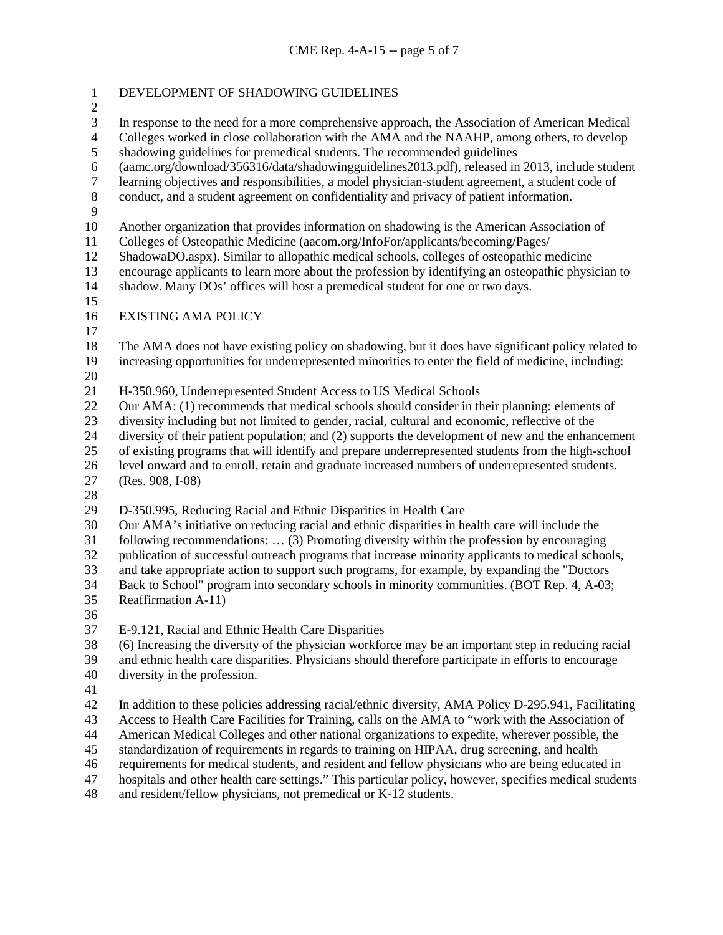| $\mathbf{1}$             | DEVELOPMENT OF SHADOWING GUIDELINES                                                                    |
|--------------------------|--------------------------------------------------------------------------------------------------------|
| $\boldsymbol{2}$         |                                                                                                        |
| 3                        | In response to the need for a more comprehensive approach, the Association of American Medical         |
| $\overline{\mathcal{L}}$ | Colleges worked in close collaboration with the AMA and the NAAHP, among others, to develop            |
| 5                        | shadowing guidelines for premedical students. The recommended guidelines                               |
| $\boldsymbol{6}$         | (aamc.org/download/356316/data/shadowingguidelines2013.pdf), released in 2013, include student         |
| $\tau$                   | learning objectives and responsibilities, a model physician-student agreement, a student code of       |
| $\,8$                    | conduct, and a student agreement on confidentiality and privacy of patient information.                |
| 9                        |                                                                                                        |
| 10                       | Another organization that provides information on shadowing is the American Association of             |
| 11                       | Colleges of Osteopathic Medicine (aacom.org/InfoFor/applicants/becoming/Pages/                         |
| 12<br>13                 | ShadowaDO.aspx). Similar to allopathic medical schools, colleges of osteopathic medicine               |
| 14                       | encourage applicants to learn more about the profession by identifying an osteopathic physician to     |
| 15                       | shadow. Many DOs' offices will host a premedical student for one or two days.                          |
| 16                       | <b>EXISTING AMA POLICY</b>                                                                             |
| 17                       |                                                                                                        |
| 18                       | The AMA does not have existing policy on shadowing, but it does have significant policy related to     |
| 19                       | increasing opportunities for underrepresented minorities to enter the field of medicine, including:    |
| 20                       |                                                                                                        |
| 21                       | H-350.960, Underrepresented Student Access to US Medical Schools                                       |
| 22                       | Our AMA: (1) recommends that medical schools should consider in their planning: elements of            |
| 23                       | diversity including but not limited to gender, racial, cultural and economic, reflective of the        |
| 24                       | diversity of their patient population; and (2) supports the development of new and the enhancement     |
| 25                       | of existing programs that will identify and prepare underrepresented students from the high-school     |
| 26                       | level onward and to enroll, retain and graduate increased numbers of underrepresented students.        |
| 27                       | (Res. 908, I-08)                                                                                       |
| 28                       |                                                                                                        |
| 29                       | D-350.995, Reducing Racial and Ethnic Disparities in Health Care                                       |
| 30                       | Our AMA's initiative on reducing racial and ethnic disparities in health care will include the         |
| 31                       | following recommendations:  (3) Promoting diversity within the profession by encouraging               |
| 32                       | publication of successful outreach programs that increase minority applicants to medical schools,      |
| 33                       | and take appropriate action to support such programs, for example, by expanding the "Doctors           |
| 34                       | Back to School" program into secondary schools in minority communities. (BOT Rep. 4, A-03;             |
| 35                       | Reaffirmation A-11)                                                                                    |
| 36                       |                                                                                                        |
| 37                       | E-9.121, Racial and Ethnic Health Care Disparities                                                     |
| 38                       | (6) Increasing the diversity of the physician workforce may be an important step in reducing racial    |
| 39                       | and ethnic health care disparities. Physicians should therefore participate in efforts to encourage    |
| 40                       | diversity in the profession.                                                                           |
| 41                       |                                                                                                        |
| 42                       | In addition to these policies addressing racial/ethnic diversity, AMA Policy D-295.941, Facilitating   |
| 43                       | Access to Health Care Facilities for Training, calls on the AMA to "work with the Association of       |
| 44                       | American Medical Colleges and other national organizations to expedite, wherever possible, the         |
| 45                       | standardization of requirements in regards to training on HIPAA, drug screening, and health            |
| 46                       | requirements for medical students, and resident and fellow physicians who are being educated in        |
| 47                       | hospitals and other health care settings." This particular policy, however, specifies medical students |

and resident/fellow physicians, not premedical or K-12 students.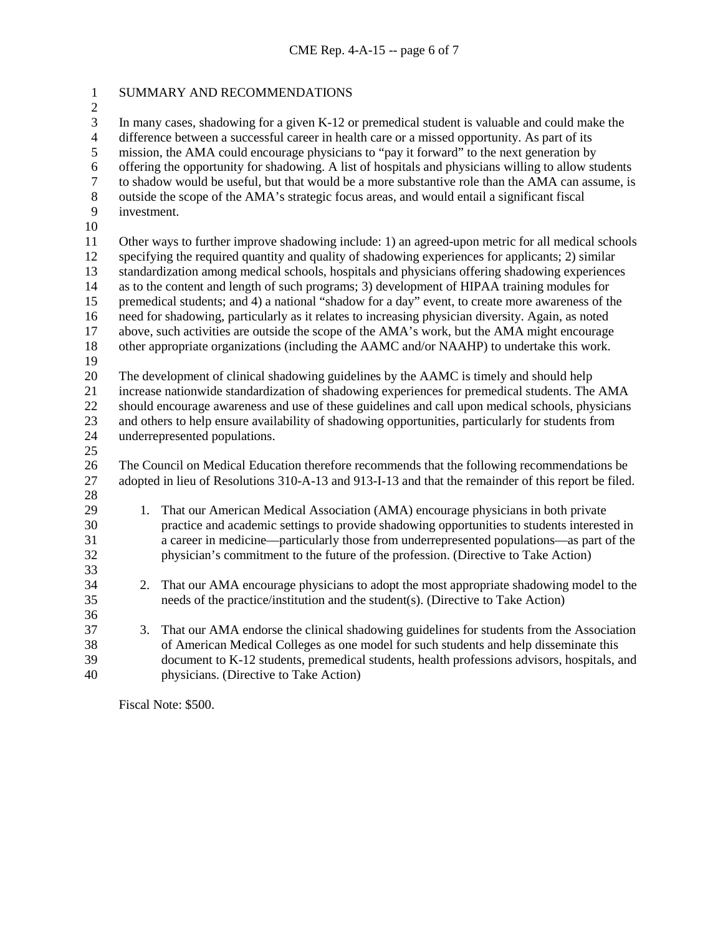| $\mathbf{1}$                     |                                                                                                                                                                                                          | <b>SUMMARY AND RECOMMENDATIONS</b>                                                                |  |
|----------------------------------|----------------------------------------------------------------------------------------------------------------------------------------------------------------------------------------------------------|---------------------------------------------------------------------------------------------------|--|
| $\overline{c}$<br>$\overline{3}$ |                                                                                                                                                                                                          |                                                                                                   |  |
| $\overline{4}$                   | In many cases, shadowing for a given K-12 or premedical student is valuable and could make the                                                                                                           |                                                                                                   |  |
| $\mathfrak s$                    | difference between a successful career in health care or a missed opportunity. As part of its                                                                                                            |                                                                                                   |  |
| $\sqrt{6}$                       | mission, the AMA could encourage physicians to "pay it forward" to the next generation by                                                                                                                |                                                                                                   |  |
| $\boldsymbol{7}$                 | offering the opportunity for shadowing. A list of hospitals and physicians willing to allow students<br>to shadow would be useful, but that would be a more substantive role than the AMA can assume, is |                                                                                                   |  |
| $\,8$                            | outside the scope of the AMA's strategic focus areas, and would entail a significant fiscal                                                                                                              |                                                                                                   |  |
| $\mathbf{9}$                     | investment.                                                                                                                                                                                              |                                                                                                   |  |
| $10\,$                           |                                                                                                                                                                                                          |                                                                                                   |  |
| 11                               |                                                                                                                                                                                                          | Other ways to further improve shadowing include: 1) an agreed-upon metric for all medical schools |  |
| 12                               | specifying the required quantity and quality of shadowing experiences for applicants; 2) similar                                                                                                         |                                                                                                   |  |
| 13                               | standardization among medical schools, hospitals and physicians offering shadowing experiences                                                                                                           |                                                                                                   |  |
| 14                               | as to the content and length of such programs; 3) development of HIPAA training modules for                                                                                                              |                                                                                                   |  |
| 15                               | premedical students; and 4) a national "shadow for a day" event, to create more awareness of the                                                                                                         |                                                                                                   |  |
| 16                               | need for shadowing, particularly as it relates to increasing physician diversity. Again, as noted                                                                                                        |                                                                                                   |  |
| 17                               | above, such activities are outside the scope of the AMA's work, but the AMA might encourage                                                                                                              |                                                                                                   |  |
| 18                               | other appropriate organizations (including the AAMC and/or NAAHP) to undertake this work.                                                                                                                |                                                                                                   |  |
| 19                               |                                                                                                                                                                                                          |                                                                                                   |  |
| 20                               | The development of clinical shadowing guidelines by the AAMC is timely and should help                                                                                                                   |                                                                                                   |  |
| 21                               |                                                                                                                                                                                                          | increase nationwide standardization of shadowing experiences for premedical students. The AMA     |  |
| 22                               | should encourage awareness and use of these guidelines and call upon medical schools, physicians                                                                                                         |                                                                                                   |  |
| 23                               | and others to help ensure availability of shadowing opportunities, particularly for students from                                                                                                        |                                                                                                   |  |
| 24                               |                                                                                                                                                                                                          | underrepresented populations.                                                                     |  |
| 25                               |                                                                                                                                                                                                          |                                                                                                   |  |
| 26                               | The Council on Medical Education therefore recommends that the following recommendations be                                                                                                              |                                                                                                   |  |
| 27                               | adopted in lieu of Resolutions 310-A-13 and 913-I-13 and that the remainder of this report be filed.                                                                                                     |                                                                                                   |  |
| 28                               |                                                                                                                                                                                                          |                                                                                                   |  |
| 29                               | 1.                                                                                                                                                                                                       | That our American Medical Association (AMA) encourage physicians in both private                  |  |
| 30                               |                                                                                                                                                                                                          | practice and academic settings to provide shadowing opportunities to students interested in       |  |
| 31<br>32                         |                                                                                                                                                                                                          | a career in medicine—particularly those from underrepresented populations—as part of the          |  |
|                                  |                                                                                                                                                                                                          | physician's commitment to the future of the profession. (Directive to Take Action)                |  |
| 33<br>34                         | 2.                                                                                                                                                                                                       | That our AMA encourage physicians to adopt the most appropriate shadowing model to the            |  |
| 35                               |                                                                                                                                                                                                          | needs of the practice/institution and the student(s). (Directive to Take Action)                  |  |
| 36                               |                                                                                                                                                                                                          |                                                                                                   |  |
| 37                               | 3.                                                                                                                                                                                                       | That our AMA endorse the clinical shadowing guidelines for students from the Association          |  |
| 38                               |                                                                                                                                                                                                          | of American Medical Colleges as one model for such students and help disseminate this             |  |
| 39                               |                                                                                                                                                                                                          | document to K-12 students, premedical students, health professions advisors, hospitals, and       |  |
| 40                               |                                                                                                                                                                                                          | physicians. (Directive to Take Action)                                                            |  |
|                                  |                                                                                                                                                                                                          |                                                                                                   |  |

Fiscal Note: \$500.